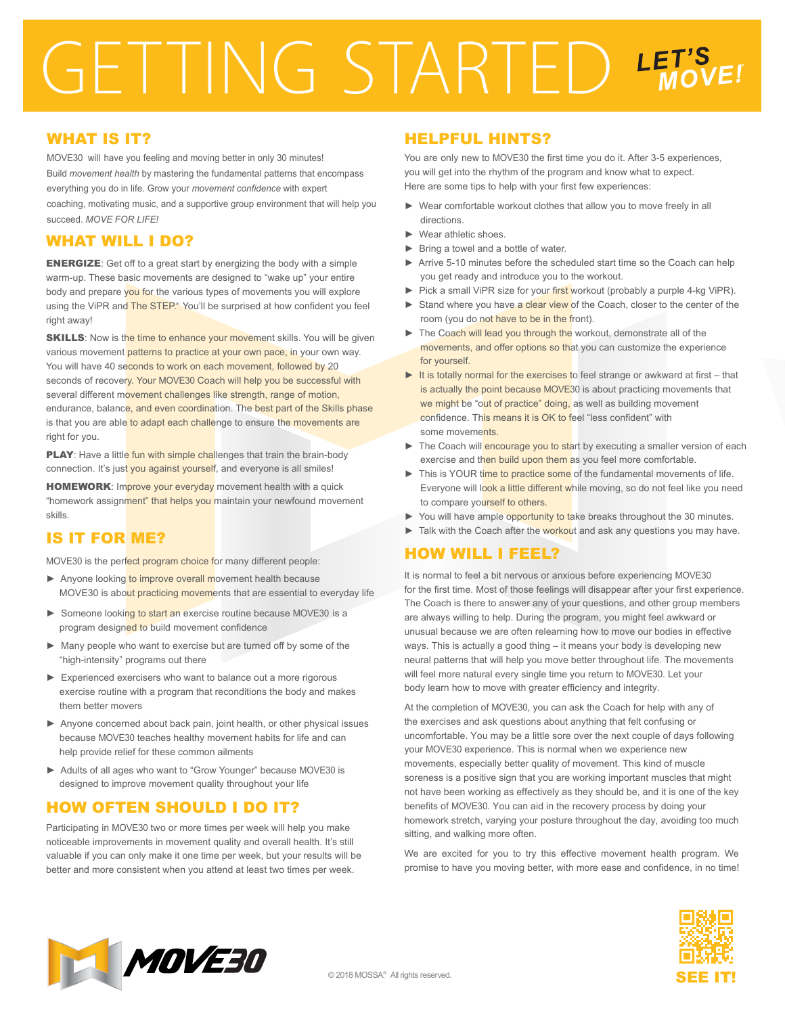# GETTING STARTED LET'S

#### WHAT IS IT?

MOVE30 will have you feeling and moving better in only 30 minutes! Build *movement health* by mastering the fundamental patterns that encompass everything you do in life. Grow your *movement confidence* with expert coaching, motivating music, and a supportive group environment that will help you succeed. *MOVE FOR LIFE!*

## WHAT WILL I DO?

ENERGIZE: Get off to a great start by energizing the body with a simple warm-up. These basic movements are designed to "wake up" your entire body and prepare you for the various types of movements you will explore using the ViPR and The STEP.<sup>®</sup> You'll be surprised at how confident you feel right away!

**SKILLS:** Now is the time to enhance your movement skills. You will be given various movement patterns to practice at your own pace, in your own way. You will have 40 seconds to work on each movement, followed by 20 seconds of recovery. Your MOVE30 Coach will help you be successful with several different movement challenges like strength, range of motion, endurance, balance, and even coordination. The best part of the Skills phase is that you are able to adapt each challenge to ensure the movements are right for you.

PLAY: Have a little fun with simple challenges that train the brain-body connection. It's just you against yourself, and everyone is all smiles!

HOMEWORK: Improve your everyday movement health with a quick "homework assignment" that helps you maintain your newfound movement skills.

# IS IT FOR ME?

MOVE30 is the perfect program choice for many different people:

- ► Anyone looking to improve overall movement health because MOVE30 is about practicing movements that are essential to everyday life
- ► Someone looking to start an exercise routine because MOVE30 is a program designed to build movement confidence
- ► Many people who want to exercise but are turned off by some of the "high-intensity" programs out there
- ► Experienced exercisers who want to balance out a more rigorous exercise routine with a program that reconditions the body and makes them better movers
- ► Anyone concerned about back pain, joint health, or other physical issues because MOVE30 teaches healthy movement habits for life and can help provide relief for these common ailments
- ► Adults of all ages who want to "Grow Younger" because MOVE30 is designed to improve movement quality throughout your life

# HOW OFTEN SHOULD I DO IT?

Participating in MOVE30 two or more times per week will help you make noticeable improvements in movement quality and overall health. It's still valuable if you can only make it one time per week, but your results will be better and more consistent when you attend at least two times per week.

#### HELPFUL HINTS?

You are only new to MOVE30 the first time you do it. After 3-5 experiences, you will get into the rhythm of the program and know what to expect. Here are some tips to help with your first few experiences:

- ► Wear comfortable workout clothes that allow you to move freely in all directions.
- Wear athletic shoes.
- ► Bring a towel and a bottle of water.
- ► Arrive 5-10 minutes before the scheduled start time so the Coach can help you get ready and introduce you to the workout.
- Pick a small ViPR size for your first workout (probably a purple 4-kg ViPR).
- Stand where you have a clear view of the Coach, closer to the center of the room (you do not have to be in the front).
- ► The Coach will lead you through the workout, demonstrate all of the movements, and offer options so that you can customize the experience for yourself.
- ► It is totally normal for the exercises to feel strange or awkward at first that is actually the point because MOVE30 is about practicing movements that we might be "out of practice" doing, as well as building movement confidence. This means it is OK to feel "less confident" with some movements.
- ► The Coach will encourage you to start by executing a smaller version of each exercise and then build upon them as you feel more comfortable.
- ► This is YOUR time to practice some of the fundamental movements of life. Everyone will look a little different while moving, so do not feel like you need to compare yourself to others.
- ► You will have ample opportunity to take breaks throughout the 30 minutes.
- ► Talk with the Coach after the workout and ask any questions you may have.

### HOW WILL I FEEL?

It is normal to feel a bit nervous or anxious before experiencing MOVE30 for the first time. Most of those feelings will disappear after your first experience. The Coach is there to answer any of your questions, and other group members are always willing to help. During the program, you might feel awkward or unusual because we are often relearning how to move our bodies in effective ways. This is actually a good thing – it means your body is developing new neural patterns that will help you move better throughout life. The movements will feel more natural every single time you return to MOVE30. Let your body learn how to move with greater efficiency and integrity.

At the completion of MOVE30, you can ask the Coach for help with any of the exercises and ask questions about anything that felt confusing or uncomfortable. You may be a little sore over the next couple of days following your MOVE30 experience. This is normal when we experience new movements, especially better quality of movement. This kind of muscle soreness is a positive sign that you are working important muscles that might not have been working as effectively as they should be, and it is one of the key benefits of MOVE30. You can aid in the recovery process by doing your homework stretch, varying your posture throughout the day, avoiding too much sitting, and walking more often.

We are excited for you to try this effective movement health program. We promise to have you moving better, with more ease and confidence, in no time!